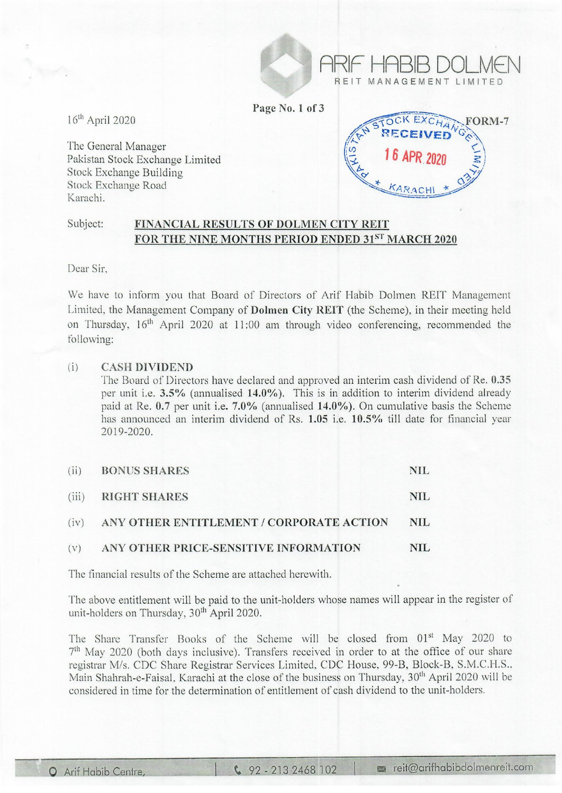Page No.1 of 3

16th April 2020

The General Manager Pakistan Stock Exchange Limited Stock Exchange Building Stock Exchange Road Karachi.



ARIF' HABIB DOLMEN

REIT MANAGEMENT LIMIT

## Subject: FINANCIAL RESULTS OF DOLMEN CITY REIT FOR THE NINE MONTHS PERIOD ENDED 31ST MARCH 2020

Dear Sir,

We have to inform you that Board of Directors of Arif Habib Dolmen REIT Management Limited, the Management Company of Dolmen City REIT (the Scheme), in their meeting held on Thursday, 16<sup>th</sup> April 2020 at 11:00 am through video conferencing, recommended the following:

## (i) CASH DIVIDEND

The Board of Directors have declared and approved an interim cash dividend of Re. 0.35 per unit i.e.  $3.5\%$  (annualised 14.0%). This is in addition to interim dividend already paid at Re.  $0.7$  per unit i.e.  $7.0\%$  (annualised  $14.0\%$ ). On cumulative basis the Scheme has announced an interim dividend of Rs. 1.05 i.e. 10.5% till date for financial year 2019-2020.

| (ii) | <b>BONUS SHARES</b>                           | NIL. |
|------|-----------------------------------------------|------|
|      | (iii) RIGHT SHARES                            | NIL. |
|      | (iv) ANY OTHER ENTITLEMENT / CORPORATE ACTION | NIL  |
|      | (v) ANY OTHER PRICE-SENSITIVE INFORMATION     | NIL. |

The financial results of the Scheme are attached herewith.

The above entitlement will be paid to the unit-holders whose names will appear in the register of unit-holders on Thursday, 30<sup>th</sup> April 2020.

The Share Transfer Books of the Scheme will be closed from 01<sup>st</sup> May 2020 to 7<sup>th</sup> May 2020 (both days inclusive). Transfers received in order to at the office of our share registrar M/s. CDC Share Registrar Services Limited, CDC House, 99-B, Block-B, S.M.C.H.S., Main Shahrah-e-Faisal, Karachi at the close of the business on Thursday, 30<sup>th</sup> April 2020 will be considered in time for the determination of entitlement of cash dividend to the unit-holders.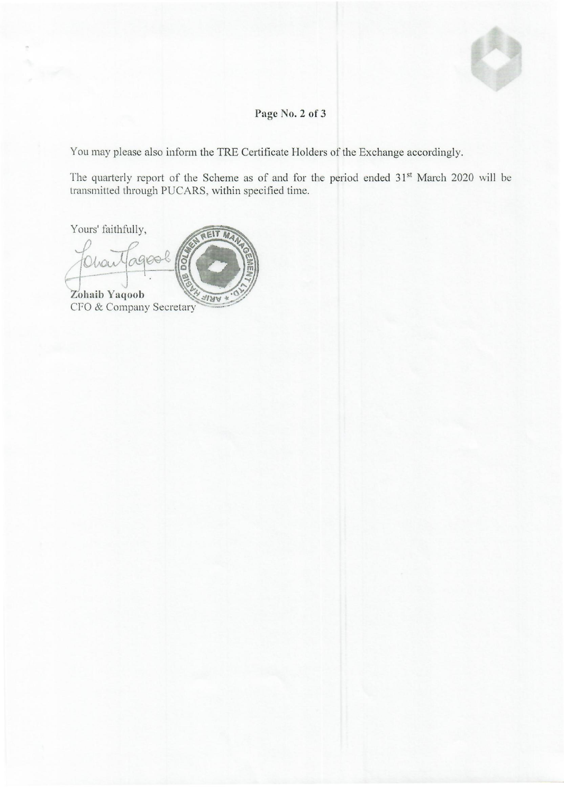

## **Page No.2 of 3**

You may please also inform the TRE Certificate Holders of the Exchange accordingly.

The quarterly report of the Scheme as of and for the period ended 31<sup>st</sup> March 2020 will be transmitted through PUCARS, within specified time.

Yours' faithfully,

EIT M Zohaib Yaqoob NRI CFO & Company Secretary